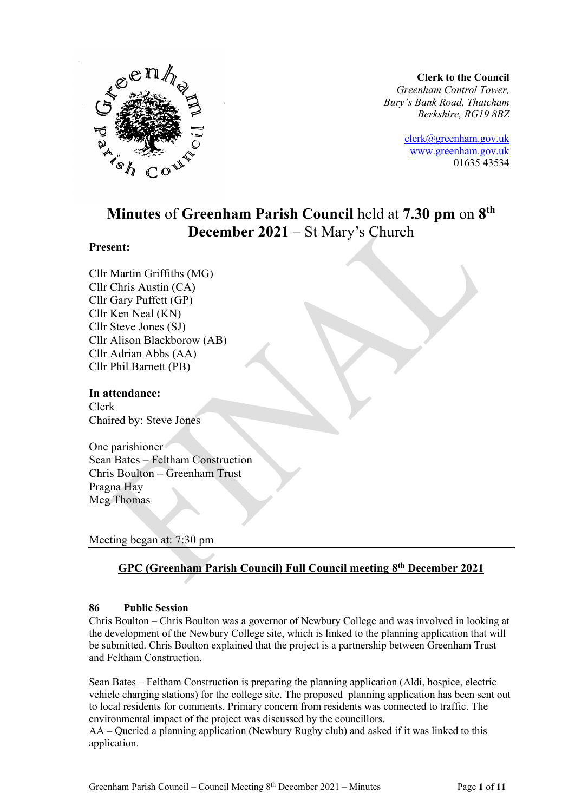

**Clerk to the Council** *Greenham Control Tower, Bury's Bank Road, Thatcham Berkshire, RG19 8BZ*

> [clerk@greenham.gov.uk](mailto:clerk@greenham.gov.uk) [www.greenham.gov.uk](http://www.greenham.gov.uk/) 01635 43534

# **Minutes** of **Greenham Parish Council** held at **7.30 pm** on **8 th December 2021** – St Mary's Church

#### **Present:**

Cllr Martin Griffiths (MG) Cllr Chris Austin (CA) Cllr Gary Puffett (GP) Cllr Ken Neal (KN) Cllr Steve Jones (SJ) Cllr Alison Blackborow (AB) Cllr Adrian Abbs (AA) Cllr Phil Barnett (PB)

#### **In attendance:**

Clerk Chaired by: Steve Jones

One parishioner Sean Bates – Feltham Construction Chris Boulton – Greenham Trust Pragna Hay Meg Thomas

Meeting began at: 7:30 pm

# **GPC (Greenham Parish Council) Full Council meeting 8 th December 2021**

## **86 Public Session**

Chris Boulton – Chris Boulton was a governor of Newbury College and was involved in looking at the development of the Newbury College site, which is linked to the planning application that will be submitted. Chris Boulton explained that the project is a partnership between Greenham Trust and Feltham Construction.

Sean Bates – Feltham Construction is preparing the planning application (Aldi, hospice, electric vehicle charging stations) for the college site. The proposed planning application has been sent out to local residents for comments. Primary concern from residents was connected to traffic. The environmental impact of the project was discussed by the councillors.

AA – Queried a planning application (Newbury Rugby club) and asked if it was linked to this application.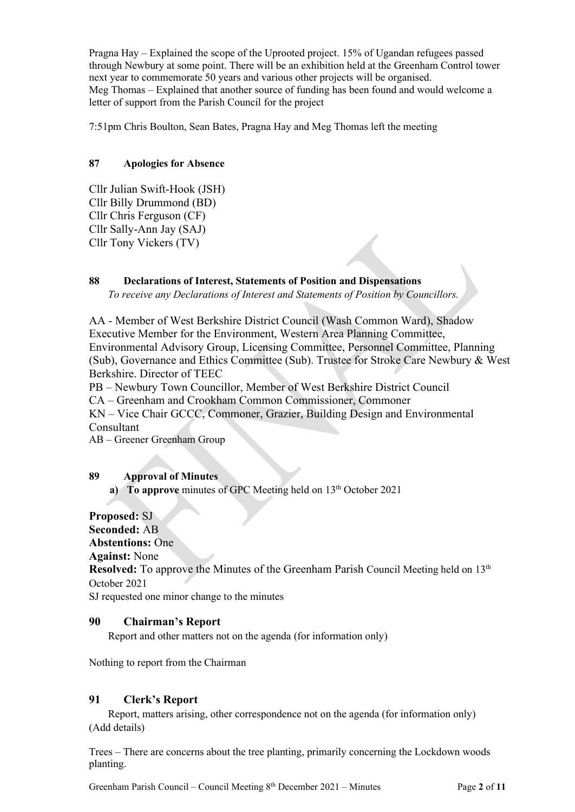Pragna Hay – Explained the scope of the Uprooted project. 15% of Ugandan refugees passed through Newbury at some point. There will be an exhibition held at the Greenham Control tower next year to commemorate 50 years and various other projects will be organised. Meg Thomas – Explained that another source of funding has been found and would welcome a letter of support from the Parish Council for the project

7:51pm Chris Boulton, Sean Bates, Pragna Hay and Meg Thomas left the meeting

### **87 Apologies for Absence**

Cllr Julian Swift-Hook (JSH) Cllr Billy Drummond (BD) Cllr Chris Ferguson (CF) Cllr Sally-Ann Jay (SAJ) Cllr Tony Vickers (TV)

# **88 Declarations of Interest, Statements of Position and Dispensations**

*To receive any Declarations of Interest and Statements of Position by Councillors.* 

AA - Member of West Berkshire District Council (Wash Common Ward), Shadow Executive Member for the Environment, Western Area Planning Committee, Environmental Advisory Group, Licensing Committee, Personnel Committee, Planning (Sub), Governance and Ethics Committee (Sub). Trustee for Stroke Care Newbury & West Berkshire. Director of TEEC

PB – Newbury Town Councillor, Member of West Berkshire District Council

CA – Greenham and Crookham Common Commissioner, Commoner

KN – Vice Chair GCCC, Commoner, Grazier, Building Design and Environmental Consultant

AB – Greener Greenham Group

### **89 Approval of Minutes**

**a)** To approve minutes of GPC Meeting held on 13<sup>th</sup> October 2021

# **Proposed:** SJ

**Seconded:** AB

**Abstentions:** One

**Against:** None

Resolved: To approve the Minutes of the Greenham Parish Council Meeting held on 13<sup>th</sup> October 2021

SJ requested one minor change to the minutes

### **90 Chairman's Report**

Report and other matters not on the agenda (for information only)

Nothing to report from the Chairman

### **91 Clerk's Report**

Report, matters arising, other correspondence not on the agenda (for information only) (Add details)

Trees – There are concerns about the tree planting, primarily concerning the Lockdown woods planting.

Greenham Parish Council – Council Meeting 8<sup>th</sup> December 2021 – Minutes Page 2 of 11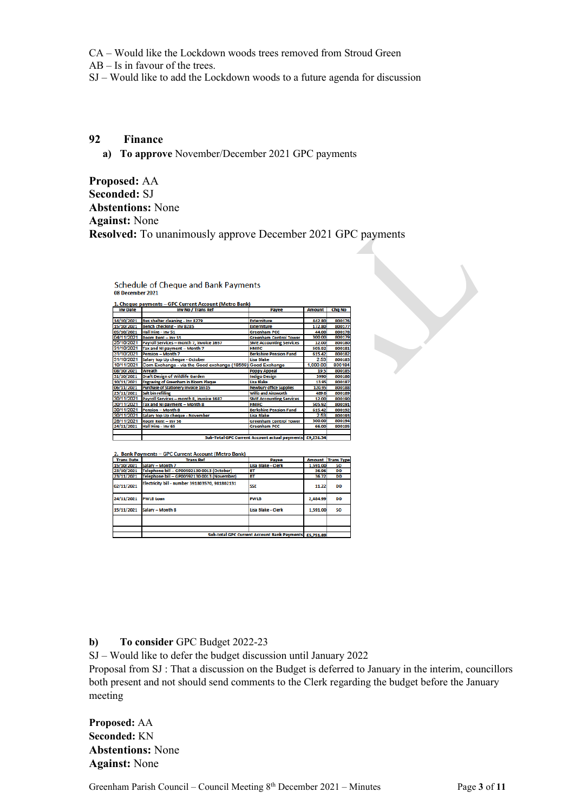CA – Would like the Lockdown woods trees removed from Stroud Green

AB – Is in favour of the trees.

SJ – Would like to add the Lockdown woods to a future agenda for discussion

# **92 Finance**

**a) To approve** November/December 2021 GPC payments

**Proposed:** AA **Seconded:** SJ **Abstentions:** None **Against:** None **Resolved:** To unanimously approve December 2021 GPC payments

| 1. Cheque payments – GPC Current Account (Metro Bank)<br>Inv No / Trans Ref<br><b>Inv Date</b><br><b>Chg No</b><br><b>Payee</b><br><b>Amount</b><br>Bus shelter cleaning - Inv 8279<br>14/10/2021<br><b>Externiture</b><br>442.80<br>Bench checking - Inv 8285<br><b>Externiture</b><br>15/10/2021<br>172.80<br>800177<br>Hall Hire - Inv 51<br><b>Greenham PCC</b><br>05/10/2021<br>44.00<br>04/11/2021<br>Room Rent - Inv 55<br>300.00<br><b>Greenham Control Tower</b><br>25/10/2021<br>Payroll Services - month 7, invoice 1657<br>12.00<br>800180<br><b>SME Accounting Services</b><br>31/10/2021<br>Tax and NI payment - Month 7<br><b>HMRC</b><br>505.92<br>800181<br>31/10/2021<br>Pension - Month 7<br><b>Berkshire Pension Fund</b><br>800182<br>615.42<br>31/10/2021<br>2.53<br>Salary top Up cheque - October<br>Lisa Blake<br>Corn Exchange - via the Good exchange (18569)<br>1,000.00<br>10/11/2021<br>800184<br><b>Good Exchange</b><br>08/10/2021<br>Wreath<br>800185<br><b>Poppy Appeal</b><br>19.5<br><b>Draft Design of Wildlife Garden</b><br>31/10/2021<br><b>Indigo Design</b><br>3990<br><b>Engraving of Greenham in Bloom Plaque</b><br>10/11/2021<br><b>Lisa Blake</b><br>800187<br>13.95<br>Purchase of Stationery Invoice 16515<br><b>Newbury office Supplies</b><br>06/11/2021<br>120.95<br>800188<br>Salt bin refilling<br><b>Willis and Ainsworth</b><br>23/11/2021<br>800189<br>489.6<br>30/11/2021<br>Payroll Services - month 8, invoice 1687<br><b>SME Accounting Services</b><br>12.00<br>30/11/2021<br>Tax and NI payment - Month 8<br><b>HMRC</b><br>505.92<br>800191<br>30/11/2021<br><b>Pension - Month 8</b><br><b>Berkshire Pension Fund</b><br>615.42<br>800192<br>30/11/2021<br>2.53<br>Salary top Up cheque - November<br>Lisa Blake<br>28/11/2021<br>300.00<br><b>Greenham Control Tower</b><br>Room Rent - Inv 56<br>Hall Hire - Inv 65<br><b>Greenham PCC</b><br>24/11/2021<br>66.00<br>Sub-Total GPC Current Account actual payments £9,231.34 | <b>Schedule of Cheque and Bank Payments</b><br>08 December 2021 |  |  |  |        |
|-------------------------------------------------------------------------------------------------------------------------------------------------------------------------------------------------------------------------------------------------------------------------------------------------------------------------------------------------------------------------------------------------------------------------------------------------------------------------------------------------------------------------------------------------------------------------------------------------------------------------------------------------------------------------------------------------------------------------------------------------------------------------------------------------------------------------------------------------------------------------------------------------------------------------------------------------------------------------------------------------------------------------------------------------------------------------------------------------------------------------------------------------------------------------------------------------------------------------------------------------------------------------------------------------------------------------------------------------------------------------------------------------------------------------------------------------------------------------------------------------------------------------------------------------------------------------------------------------------------------------------------------------------------------------------------------------------------------------------------------------------------------------------------------------------------------------------------------------------------------------------------------------------------------------------------------------------------------------------------------------|-----------------------------------------------------------------|--|--|--|--------|
|                                                                                                                                                                                                                                                                                                                                                                                                                                                                                                                                                                                                                                                                                                                                                                                                                                                                                                                                                                                                                                                                                                                                                                                                                                                                                                                                                                                                                                                                                                                                                                                                                                                                                                                                                                                                                                                                                                                                                                                                 |                                                                 |  |  |  |        |
|                                                                                                                                                                                                                                                                                                                                                                                                                                                                                                                                                                                                                                                                                                                                                                                                                                                                                                                                                                                                                                                                                                                                                                                                                                                                                                                                                                                                                                                                                                                                                                                                                                                                                                                                                                                                                                                                                                                                                                                                 |                                                                 |  |  |  |        |
|                                                                                                                                                                                                                                                                                                                                                                                                                                                                                                                                                                                                                                                                                                                                                                                                                                                                                                                                                                                                                                                                                                                                                                                                                                                                                                                                                                                                                                                                                                                                                                                                                                                                                                                                                                                                                                                                                                                                                                                                 |                                                                 |  |  |  |        |
|                                                                                                                                                                                                                                                                                                                                                                                                                                                                                                                                                                                                                                                                                                                                                                                                                                                                                                                                                                                                                                                                                                                                                                                                                                                                                                                                                                                                                                                                                                                                                                                                                                                                                                                                                                                                                                                                                                                                                                                                 |                                                                 |  |  |  | 800176 |
|                                                                                                                                                                                                                                                                                                                                                                                                                                                                                                                                                                                                                                                                                                                                                                                                                                                                                                                                                                                                                                                                                                                                                                                                                                                                                                                                                                                                                                                                                                                                                                                                                                                                                                                                                                                                                                                                                                                                                                                                 |                                                                 |  |  |  |        |
|                                                                                                                                                                                                                                                                                                                                                                                                                                                                                                                                                                                                                                                                                                                                                                                                                                                                                                                                                                                                                                                                                                                                                                                                                                                                                                                                                                                                                                                                                                                                                                                                                                                                                                                                                                                                                                                                                                                                                                                                 |                                                                 |  |  |  | 800178 |
|                                                                                                                                                                                                                                                                                                                                                                                                                                                                                                                                                                                                                                                                                                                                                                                                                                                                                                                                                                                                                                                                                                                                                                                                                                                                                                                                                                                                                                                                                                                                                                                                                                                                                                                                                                                                                                                                                                                                                                                                 |                                                                 |  |  |  | 800179 |
|                                                                                                                                                                                                                                                                                                                                                                                                                                                                                                                                                                                                                                                                                                                                                                                                                                                                                                                                                                                                                                                                                                                                                                                                                                                                                                                                                                                                                                                                                                                                                                                                                                                                                                                                                                                                                                                                                                                                                                                                 |                                                                 |  |  |  |        |
|                                                                                                                                                                                                                                                                                                                                                                                                                                                                                                                                                                                                                                                                                                                                                                                                                                                                                                                                                                                                                                                                                                                                                                                                                                                                                                                                                                                                                                                                                                                                                                                                                                                                                                                                                                                                                                                                                                                                                                                                 |                                                                 |  |  |  |        |
|                                                                                                                                                                                                                                                                                                                                                                                                                                                                                                                                                                                                                                                                                                                                                                                                                                                                                                                                                                                                                                                                                                                                                                                                                                                                                                                                                                                                                                                                                                                                                                                                                                                                                                                                                                                                                                                                                                                                                                                                 |                                                                 |  |  |  |        |
|                                                                                                                                                                                                                                                                                                                                                                                                                                                                                                                                                                                                                                                                                                                                                                                                                                                                                                                                                                                                                                                                                                                                                                                                                                                                                                                                                                                                                                                                                                                                                                                                                                                                                                                                                                                                                                                                                                                                                                                                 |                                                                 |  |  |  | 800183 |
|                                                                                                                                                                                                                                                                                                                                                                                                                                                                                                                                                                                                                                                                                                                                                                                                                                                                                                                                                                                                                                                                                                                                                                                                                                                                                                                                                                                                                                                                                                                                                                                                                                                                                                                                                                                                                                                                                                                                                                                                 |                                                                 |  |  |  |        |
|                                                                                                                                                                                                                                                                                                                                                                                                                                                                                                                                                                                                                                                                                                                                                                                                                                                                                                                                                                                                                                                                                                                                                                                                                                                                                                                                                                                                                                                                                                                                                                                                                                                                                                                                                                                                                                                                                                                                                                                                 |                                                                 |  |  |  |        |
|                                                                                                                                                                                                                                                                                                                                                                                                                                                                                                                                                                                                                                                                                                                                                                                                                                                                                                                                                                                                                                                                                                                                                                                                                                                                                                                                                                                                                                                                                                                                                                                                                                                                                                                                                                                                                                                                                                                                                                                                 |                                                                 |  |  |  | 800186 |
|                                                                                                                                                                                                                                                                                                                                                                                                                                                                                                                                                                                                                                                                                                                                                                                                                                                                                                                                                                                                                                                                                                                                                                                                                                                                                                                                                                                                                                                                                                                                                                                                                                                                                                                                                                                                                                                                                                                                                                                                 |                                                                 |  |  |  |        |
|                                                                                                                                                                                                                                                                                                                                                                                                                                                                                                                                                                                                                                                                                                                                                                                                                                                                                                                                                                                                                                                                                                                                                                                                                                                                                                                                                                                                                                                                                                                                                                                                                                                                                                                                                                                                                                                                                                                                                                                                 |                                                                 |  |  |  |        |
|                                                                                                                                                                                                                                                                                                                                                                                                                                                                                                                                                                                                                                                                                                                                                                                                                                                                                                                                                                                                                                                                                                                                                                                                                                                                                                                                                                                                                                                                                                                                                                                                                                                                                                                                                                                                                                                                                                                                                                                                 |                                                                 |  |  |  |        |
|                                                                                                                                                                                                                                                                                                                                                                                                                                                                                                                                                                                                                                                                                                                                                                                                                                                                                                                                                                                                                                                                                                                                                                                                                                                                                                                                                                                                                                                                                                                                                                                                                                                                                                                                                                                                                                                                                                                                                                                                 |                                                                 |  |  |  | 800190 |
|                                                                                                                                                                                                                                                                                                                                                                                                                                                                                                                                                                                                                                                                                                                                                                                                                                                                                                                                                                                                                                                                                                                                                                                                                                                                                                                                                                                                                                                                                                                                                                                                                                                                                                                                                                                                                                                                                                                                                                                                 |                                                                 |  |  |  |        |
|                                                                                                                                                                                                                                                                                                                                                                                                                                                                                                                                                                                                                                                                                                                                                                                                                                                                                                                                                                                                                                                                                                                                                                                                                                                                                                                                                                                                                                                                                                                                                                                                                                                                                                                                                                                                                                                                                                                                                                                                 |                                                                 |  |  |  |        |
|                                                                                                                                                                                                                                                                                                                                                                                                                                                                                                                                                                                                                                                                                                                                                                                                                                                                                                                                                                                                                                                                                                                                                                                                                                                                                                                                                                                                                                                                                                                                                                                                                                                                                                                                                                                                                                                                                                                                                                                                 |                                                                 |  |  |  | 800193 |
|                                                                                                                                                                                                                                                                                                                                                                                                                                                                                                                                                                                                                                                                                                                                                                                                                                                                                                                                                                                                                                                                                                                                                                                                                                                                                                                                                                                                                                                                                                                                                                                                                                                                                                                                                                                                                                                                                                                                                                                                 |                                                                 |  |  |  | 800194 |
|                                                                                                                                                                                                                                                                                                                                                                                                                                                                                                                                                                                                                                                                                                                                                                                                                                                                                                                                                                                                                                                                                                                                                                                                                                                                                                                                                                                                                                                                                                                                                                                                                                                                                                                                                                                                                                                                                                                                                                                                 |                                                                 |  |  |  | 800195 |
|                                                                                                                                                                                                                                                                                                                                                                                                                                                                                                                                                                                                                                                                                                                                                                                                                                                                                                                                                                                                                                                                                                                                                                                                                                                                                                                                                                                                                                                                                                                                                                                                                                                                                                                                                                                                                                                                                                                                                                                                 |                                                                 |  |  |  |        |
|                                                                                                                                                                                                                                                                                                                                                                                                                                                                                                                                                                                                                                                                                                                                                                                                                                                                                                                                                                                                                                                                                                                                                                                                                                                                                                                                                                                                                                                                                                                                                                                                                                                                                                                                                                                                                                                                                                                                                                                                 |                                                                 |  |  |  |        |

| 2. Bank Payments - GPC Current Account (Metro Bank) |                                                       |                    |          |                          |
|-----------------------------------------------------|-------------------------------------------------------|--------------------|----------|--------------------------|
| <b>Trans Date</b>                                   | <b>Trans Ref</b>                                      | Payee              |          | <b>Amount</b> Trans Type |
| 15/10/2021                                          | Salary - Month 7                                      | Lisa Blake - Clerk | 1.591.00 | <b>SO</b>                |
| 23/10/2021                                          | Telephone bill - GP00592130 0013 (October)            | BT                 | 36.96    | DD                       |
| 23/11/2021                                          | Telephone bill - GP00592130 0013 (November)           | <b>BT</b>          | 36.72    | <b>DD</b>                |
| 02/11/2021                                          | Electricity bill - number 391803570, 981802131        | <b>SSE</b>         | 11.22    | <b>DD</b>                |
| 24/11/2021                                          | <b>PWLB Loan</b>                                      | <b>PWLB</b>        | 2.484.99 | DD                       |
| 15/11/2021                                          | Salary - Month 8                                      | Lisa Blake - Clerk | 1.591.00 | <b>SO</b>                |
|                                                     |                                                       |                    |          |                          |
|                                                     |                                                       |                    |          |                          |
|                                                     | Sub-total GPC Current Account Bank Payments £5,751.89 |                    |          |                          |

**b) To consider** GPC Budget 2022-23

SJ – Would like to defer the budget discussion until January 2022

Proposal from SJ : That a discussion on the Budget is deferred to January in the interim, councillors both present and not should send comments to the Clerk regarding the budget before the January meeting

**Proposed:** AA **Seconded:** KN **Abstentions:** None **Against:** None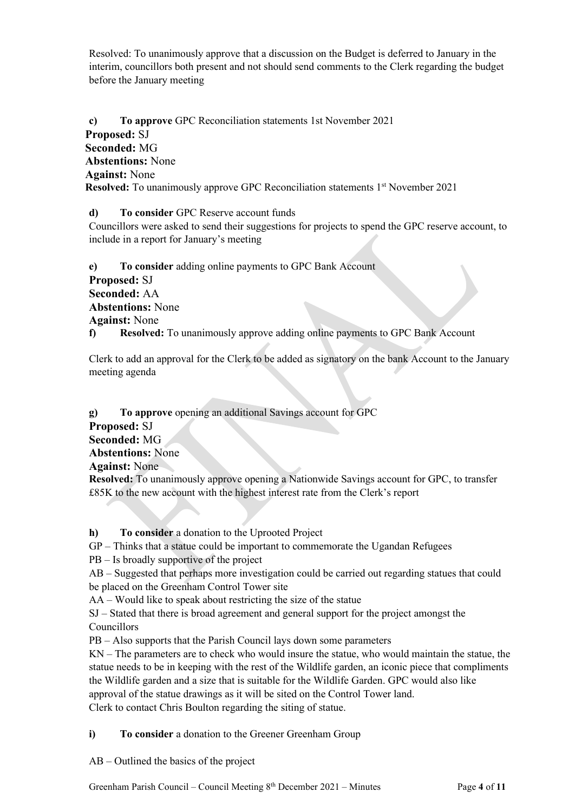Resolved: To unanimously approve that a discussion on the Budget is deferred to January in the interim, councillors both present and not should send comments to the Clerk regarding the budget before the January meeting

**c) To approve** GPC Reconciliation statements 1st November 2021 **Proposed:** SJ **Seconded:** MG **Abstentions:** None **Against:** None **Resolved:** To unanimously approve GPC Reconciliation statements 1<sup>st</sup> November 2021

**d) To consider** GPC Reserve account funds

Councillors were asked to send their suggestions for projects to spend the GPC reserve account, to include in a report for January's meeting

**e) To consider** adding online payments to GPC Bank Account **Proposed:** SJ **Seconded:** AA **Abstentions:** None **Against:** None **f) Resolved:** To unanimously approve adding online payments to GPC Bank Account

Clerk to add an approval for the Clerk to be added as signatory on the bank Account to the January meeting agenda

**g) To approve** opening an additional Savings account for GPC **Proposed:** SJ **Seconded:** MG **Abstentions:** None **Against:** None **Resolved:** To unanimously approve opening a Nationwide Savings account for GPC, to transfer £85K to the new account with the highest interest rate from the Clerk's report

**h) To consider** a donation to the Uprooted Project

GP – Thinks that a statue could be important to commemorate the Ugandan Refugees

PB – Is broadly supportive of the project

AB – Suggested that perhaps more investigation could be carried out regarding statues that could be placed on the Greenham Control Tower site

AA – Would like to speak about restricting the size of the statue

SJ – Stated that there is broad agreement and general support for the project amongst the Councillors

PB – Also supports that the Parish Council lays down some parameters

KN – The parameters are to check who would insure the statue, who would maintain the statue, the statue needs to be in keeping with the rest of the Wildlife garden, an iconic piece that compliments the Wildlife garden and a size that is suitable for the Wildlife Garden. GPC would also like approval of the statue drawings as it will be sited on the Control Tower land. Clerk to contact Chris Boulton regarding the siting of statue.

**i) To consider** a donation to the Greener Greenham Group

AB – Outlined the basics of the project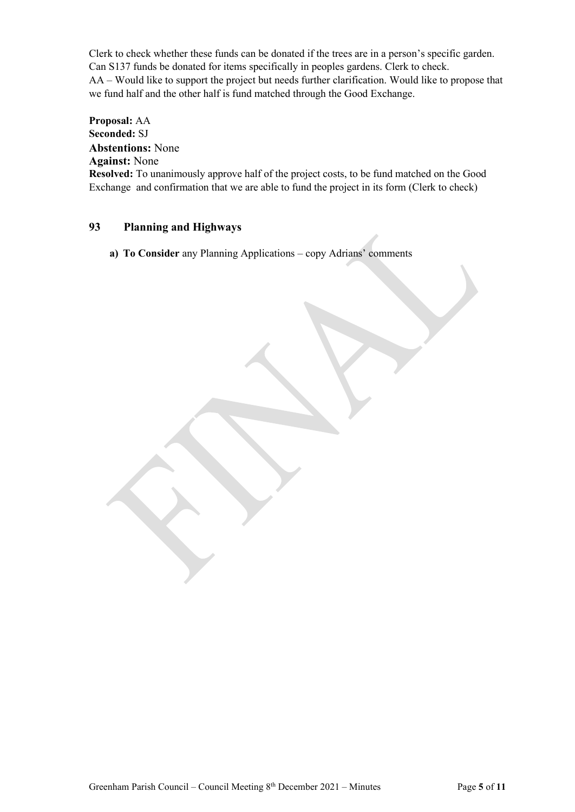Clerk to check whether these funds can be donated if the trees are in a person's specific garden. Can S137 funds be donated for items specifically in peoples gardens. Clerk to check. AA – Would like to support the project but needs further clarification. Would like to propose that we fund half and the other half is fund matched through the Good Exchange.

**Proposal:** AA **Seconded:** SJ **Abstentions:** None **Against:** None **Resolved:** To unanimously approve half of the project costs, to be fund matched on the Good Exchange and confirmation that we are able to fund the project in its form (Clerk to check)

## **93 Planning and Highways**

**a) To Consider** any Planning Applications – copy Adrians' comments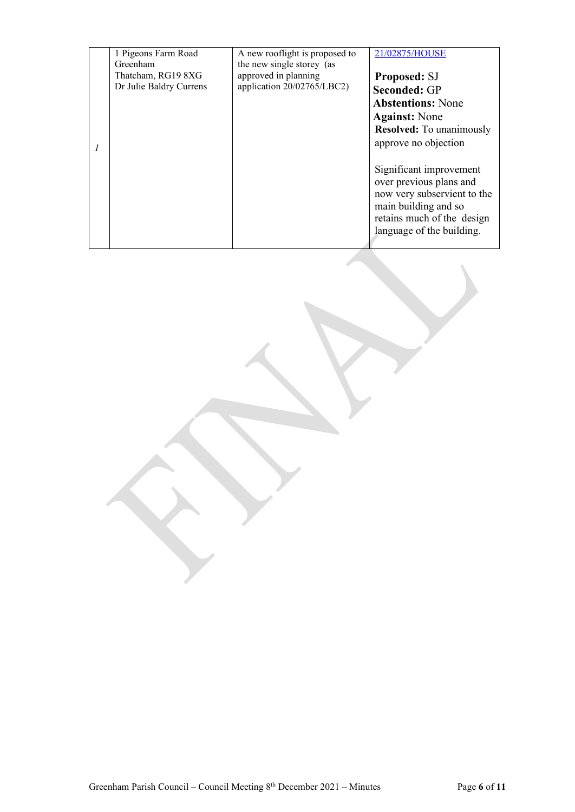| 1 Pigeons Farm Road<br>Greenham               | A new rooflight is proposed to<br>the new single storey (as | 21/02875/HOUSE                                                                                                                                                       |
|-----------------------------------------------|-------------------------------------------------------------|----------------------------------------------------------------------------------------------------------------------------------------------------------------------|
| Thatcham, RG19 8XG<br>Dr Julie Baldry Currens | approved in planning<br>application 20/02765/LBC2)          | <b>Proposed: SJ</b><br><b>Seconded: GP</b><br><b>Abstentions: None</b><br><b>Against:</b> None                                                                       |
|                                               |                                                             | <b>Resolved:</b> To unanimously<br>approve no objection                                                                                                              |
|                                               |                                                             | Significant improvement<br>over previous plans and<br>now very subservient to the<br>main building and so<br>retains much of the design<br>language of the building. |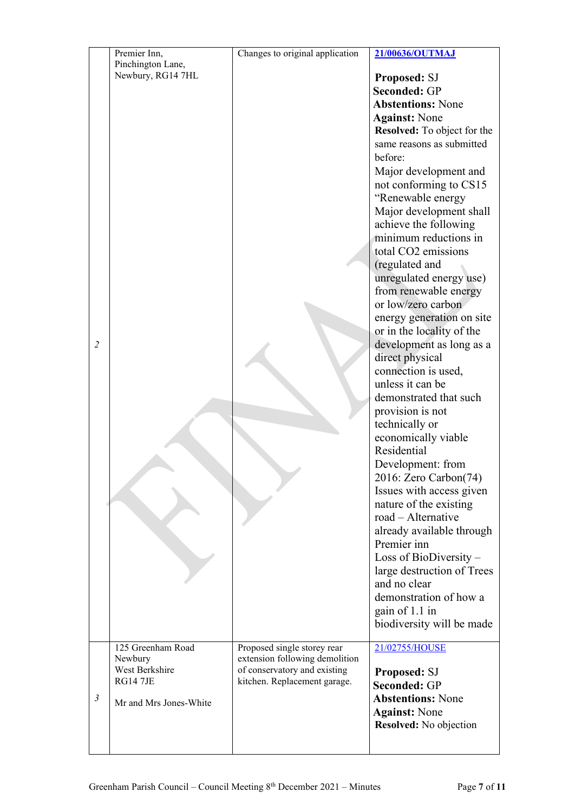| $\overline{2}$ | Premier Inn,<br>Pinchington Lane,<br>Newbury, RG14 7HL                                      | Changes to original application                                                                                               | 21/00636/OUTMAJ<br>Proposed: SJ<br><b>Seconded: GP</b><br><b>Abstentions: None</b><br><b>Against: None</b><br>Resolved: To object for the<br>same reasons as submitted<br>before:<br>Major development and<br>not conforming to CS15<br>"Renewable energy<br>Major development shall<br>achieve the following<br>minimum reductions in<br>total CO2 emissions<br>(regulated and<br>unregulated energy use)<br>from renewable energy<br>or low/zero carbon<br>energy generation on site<br>or in the locality of the<br>development as long as a<br>direct physical<br>connection is used,<br>unless it can be<br>demonstrated that such<br>provision is not<br>technically or<br>economically viable<br>Residential<br>Development: from<br>2016: Zero Carbon(74)<br>Issues with access given<br>nature of the existing<br>road - Alternative<br>already available through<br>Premier inn<br>Loss of BioDiversity -<br>large destruction of Trees<br>and no clear<br>demonstration of how a<br>gain of 1.1 in<br>biodiversity will be made |
|----------------|---------------------------------------------------------------------------------------------|-------------------------------------------------------------------------------------------------------------------------------|--------------------------------------------------------------------------------------------------------------------------------------------------------------------------------------------------------------------------------------------------------------------------------------------------------------------------------------------------------------------------------------------------------------------------------------------------------------------------------------------------------------------------------------------------------------------------------------------------------------------------------------------------------------------------------------------------------------------------------------------------------------------------------------------------------------------------------------------------------------------------------------------------------------------------------------------------------------------------------------------------------------------------------------------|
| 3              | 125 Greenham Road<br>Newbury<br>West Berkshire<br><b>RG14 7JE</b><br>Mr and Mrs Jones-White | Proposed single storey rear<br>extension following demolition<br>of conservatory and existing<br>kitchen. Replacement garage. | 21/02755/HOUSE<br><b>Proposed: SJ</b><br><b>Seconded: GP</b><br><b>Abstentions: None</b><br><b>Against: None</b><br>Resolved: No objection                                                                                                                                                                                                                                                                                                                                                                                                                                                                                                                                                                                                                                                                                                                                                                                                                                                                                                 |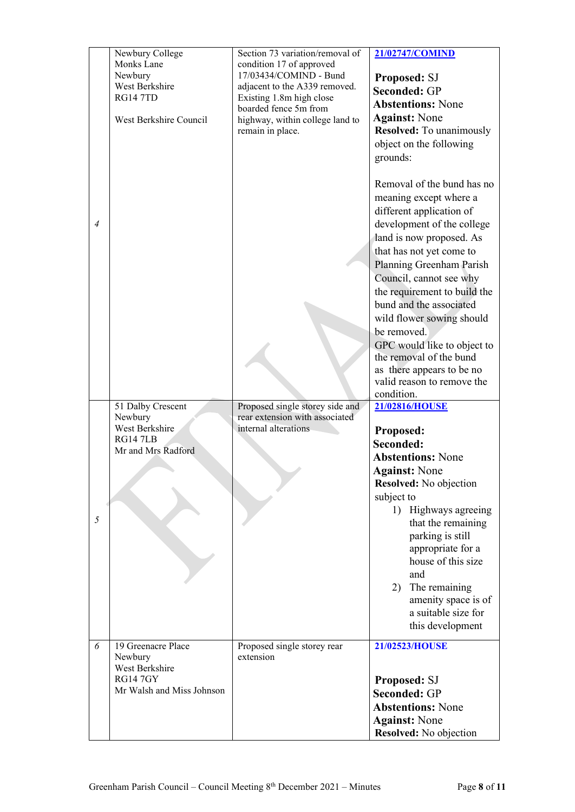|                | Newbury College<br>Monks Lane<br>Newbury<br>West Berkshire<br><b>RG14 7TD</b><br>West Berkshire Council | Section 73 variation/removal of<br>condition 17 of approved<br>17/03434/COMIND - Bund<br>adjacent to the A339 removed.<br>Existing 1.8m high close<br>boarded fence 5m from<br>highway, within college land to<br>remain in place. | 21/02747/COMIND<br>Proposed: SJ<br><b>Seconded: GP</b><br><b>Abstentions: None</b><br><b>Against: None</b><br><b>Resolved:</b> To unanimously<br>object on the following<br>grounds:                                                                                                                                                                                                                                                                                    |
|----------------|---------------------------------------------------------------------------------------------------------|------------------------------------------------------------------------------------------------------------------------------------------------------------------------------------------------------------------------------------|-------------------------------------------------------------------------------------------------------------------------------------------------------------------------------------------------------------------------------------------------------------------------------------------------------------------------------------------------------------------------------------------------------------------------------------------------------------------------|
| $\overline{4}$ |                                                                                                         |                                                                                                                                                                                                                                    | Removal of the bund has no<br>meaning except where a<br>different application of<br>development of the college<br>land is now proposed. As<br>that has not yet come to<br>Planning Greenham Parish<br>Council, cannot see why<br>the requirement to build the<br>bund and the associated<br>wild flower sowing should<br>be removed.<br>GPC would like to object to<br>the removal of the bund<br>as there appears to be no<br>valid reason to remove the<br>condition. |
|                | 51 Dalby Crescent                                                                                       | Proposed single storey side and                                                                                                                                                                                                    | 21/02816/HOUSE                                                                                                                                                                                                                                                                                                                                                                                                                                                          |
|                | Newbury                                                                                                 | rear extension with associated                                                                                                                                                                                                     |                                                                                                                                                                                                                                                                                                                                                                                                                                                                         |
|                | West Berkshire<br><b>RG147LB</b>                                                                        | internal alterations                                                                                                                                                                                                               | Proposed:                                                                                                                                                                                                                                                                                                                                                                                                                                                               |
|                | Mr and Mrs Radford                                                                                      |                                                                                                                                                                                                                                    | Seconded:<br><b>Abstentions: None</b>                                                                                                                                                                                                                                                                                                                                                                                                                                   |
|                |                                                                                                         |                                                                                                                                                                                                                                    | <b>Against: None</b>                                                                                                                                                                                                                                                                                                                                                                                                                                                    |
|                |                                                                                                         |                                                                                                                                                                                                                                    | Resolved: No objection                                                                                                                                                                                                                                                                                                                                                                                                                                                  |
|                |                                                                                                         |                                                                                                                                                                                                                                    | subject to                                                                                                                                                                                                                                                                                                                                                                                                                                                              |
| 5              |                                                                                                         |                                                                                                                                                                                                                                    | 1)<br>Highways agreeing<br>that the remaining<br>parking is still<br>appropriate for a<br>house of this size<br>and<br>The remaining<br>2)<br>amenity space is of<br>a suitable size for<br>this development                                                                                                                                                                                                                                                            |
| 6              | 19 Greenacre Place<br>Newbury                                                                           | Proposed single storey rear<br>extension                                                                                                                                                                                           | 21/02523/HOUSE                                                                                                                                                                                                                                                                                                                                                                                                                                                          |
|                | West Berkshire                                                                                          |                                                                                                                                                                                                                                    |                                                                                                                                                                                                                                                                                                                                                                                                                                                                         |
|                | <b>RG14 7GY</b>                                                                                         |                                                                                                                                                                                                                                    | Proposed: SJ                                                                                                                                                                                                                                                                                                                                                                                                                                                            |
|                | Mr Walsh and Miss Johnson                                                                               |                                                                                                                                                                                                                                    | <b>Seconded: GP</b>                                                                                                                                                                                                                                                                                                                                                                                                                                                     |
|                |                                                                                                         |                                                                                                                                                                                                                                    | <b>Abstentions: None</b>                                                                                                                                                                                                                                                                                                                                                                                                                                                |
|                |                                                                                                         |                                                                                                                                                                                                                                    | <b>Against: None</b>                                                                                                                                                                                                                                                                                                                                                                                                                                                    |
|                |                                                                                                         |                                                                                                                                                                                                                                    | Resolved: No objection                                                                                                                                                                                                                                                                                                                                                                                                                                                  |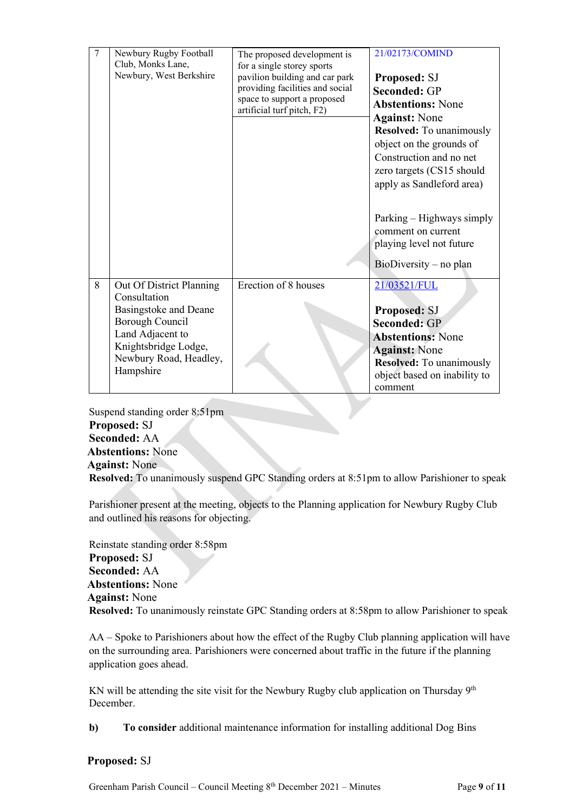| 7 | Newbury Rugby Football<br>Club, Monks Lane, | The proposed development is<br>for a single storey sports | 21/02173/COMIND                 |
|---|---------------------------------------------|-----------------------------------------------------------|---------------------------------|
|   | Newbury, West Berkshire                     | pavilion building and car park                            | <b>Proposed: SJ</b>             |
|   |                                             | providing facilities and social                           | <b>Seconded: GP</b>             |
|   |                                             | space to support a proposed                               |                                 |
|   |                                             | artificial turf pitch, F2)                                | <b>Abstentions: None</b>        |
|   |                                             |                                                           | <b>Against:</b> None            |
|   |                                             |                                                           | <b>Resolved:</b> To unanimously |
|   |                                             |                                                           | object on the grounds of        |
|   |                                             |                                                           | Construction and no net         |
|   |                                             |                                                           | zero targets (CS15 should       |
|   |                                             |                                                           | apply as Sandleford area)       |
|   |                                             |                                                           |                                 |
|   |                                             |                                                           |                                 |
|   |                                             |                                                           | Parking – Highways simply       |
|   |                                             |                                                           | comment on current              |
|   |                                             |                                                           | playing level not future        |
|   |                                             |                                                           |                                 |
|   |                                             |                                                           | $BioDiversity - no plan$        |
|   |                                             |                                                           |                                 |
| 8 | Out Of District Planning                    | Erection of 8 houses                                      | 21/03521/FUL                    |
|   | Consultation                                |                                                           |                                 |
|   | Basingstoke and Deane                       |                                                           | Proposed: SJ                    |
|   | <b>Borough Council</b>                      |                                                           | <b>Seconded: GP</b>             |
|   | Land Adjacent to                            |                                                           | <b>Abstentions: None</b>        |
|   | Knightsbridge Lodge,                        |                                                           | <b>Against: None</b>            |
|   | Newbury Road, Headley,                      |                                                           | <b>Resolved:</b> To unanimously |
|   | Hampshire                                   |                                                           | object based on inability to    |
|   |                                             |                                                           | comment                         |
|   |                                             |                                                           |                                 |

Suspend standing order 8:51pm **Proposed:** SJ **Seconded:** AA **Abstentions:** None **Against:** None

**Resolved:** To unanimously suspend GPC Standing orders at 8:51pm to allow Parishioner to speak

Parishioner present at the meeting, objects to the Planning application for Newbury Rugby Club and outlined his reasons for objecting.

Reinstate standing order 8:58pm **Proposed:** SJ **Seconded:** AA **Abstentions:** None **Against:** None **Resolved:** To unanimously reinstate GPC Standing orders at 8:58pm to allow Parishioner to speak

AA – Spoke to Parishioners about how the effect of the Rugby Club planning application will have on the surrounding area. Parishioners were concerned about traffic in the future if the planning application goes ahead.

KN will be attending the site visit for the Newbury Rugby club application on Thursday  $9<sup>th</sup>$ December.

**b) To consider** additional maintenance information for installing additional Dog Bins

### **Proposed:** SJ

Greenham Parish Council – Council Meeting 8 th December 2021 – Minutes Page **9** of **11**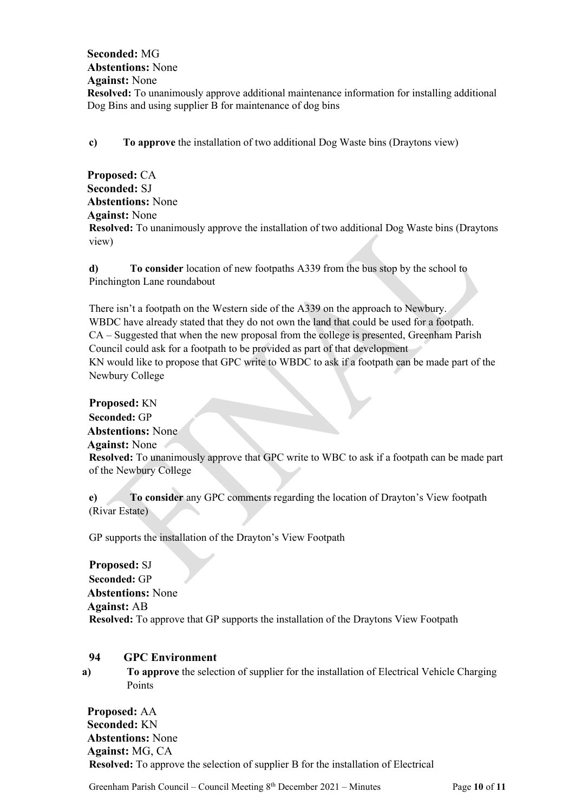### **Seconded:** MG **Abstentions:** None **Against:** None **Resolved:** To unanimously approve additional maintenance information for installing additional Dog Bins and using supplier B for maintenance of dog bins

**c) To approve** the installation of two additional Dog Waste bins (Draytons view)

**Proposed:** CA **Seconded:** SJ **Abstentions:** None **Against:** None **Resolved:** To unanimously approve the installation of two additional Dog Waste bins (Draytons view)

**d) To consider** location of new footpaths A339 from the bus stop by the school to Pinchington Lane roundabout

There isn't a footpath on the Western side of the A339 on the approach to Newbury. WBDC have already stated that they do not own the land that could be used for a footpath. CA – Suggested that when the new proposal from the college is presented, Greenham Parish Council could ask for a footpath to be provided as part of that development KN would like to propose that GPC write to WBDC to ask if a footpath can be made part of the Newbury College

**Proposed:** KN **Seconded:** GP **Abstentions:** None **Against:** None **Resolved:** To unanimously approve that GPC write to WBC to ask if a footpath can be made part of the Newbury College

**e) To consider** any GPC comments regarding the location of Drayton's View footpath (Rivar Estate)

GP supports the installation of the Drayton's View Footpath

**Proposed:** SJ **Seconded:** GP **Abstentions:** None **Against:** AB **Resolved:** To approve that GP supports the installation of the Draytons View Footpath

### **94 GPC Environment**

**a) To approve** the selection of supplier for the installation of Electrical Vehicle Charging Points

**Proposed:** AA **Seconded:** KN **Abstentions:** None **Against:** MG, CA **Resolved:** To approve the selection of supplier B for the installation of Electrical

Greenham Parish Council – Council Meeting 8<sup>th</sup> December 2021 – Minutes Page 10 of 11